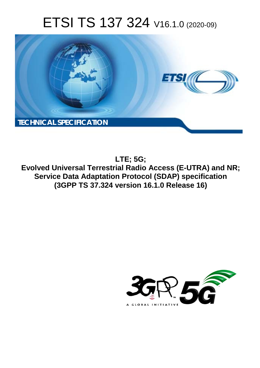# ETSI TS 137 324 V16.1.0 (2020-09)



**LTE; 5G; Evolved Universal Terrestrial Radio Access (E-UTRA) and NR; Service Data Adaptation Protocol (SDAP) specification (3GPP TS 37.324 version 16.1.0 Release 16)** 

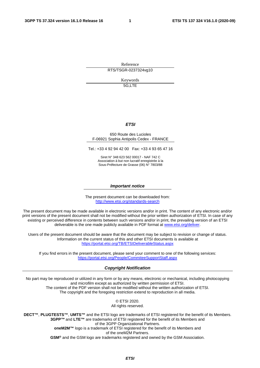Reference RTS/TSGR-0237324vg10

> Keywords 5G,LTE

#### *ETSI*

#### 650 Route des Lucioles F-06921 Sophia Antipolis Cedex - FRANCE

Tel.: +33 4 92 94 42 00 Fax: +33 4 93 65 47 16

Siret N° 348 623 562 00017 - NAF 742 C Association à but non lucratif enregistrée à la Sous-Préfecture de Grasse (06) N° 7803/88

#### *Important notice*

The present document can be downloaded from: <http://www.etsi.org/standards-search>

The present document may be made available in electronic versions and/or in print. The content of any electronic and/or print versions of the present document shall not be modified without the prior written authorization of ETSI. In case of any existing or perceived difference in contents between such versions and/or in print, the prevailing version of an ETSI deliverable is the one made publicly available in PDF format at [www.etsi.org/deliver](http://www.etsi.org/deliver).

Users of the present document should be aware that the document may be subject to revision or change of status. Information on the current status of this and other ETSI documents is available at <https://portal.etsi.org/TB/ETSIDeliverableStatus.aspx>

If you find errors in the present document, please send your comment to one of the following services: <https://portal.etsi.org/People/CommiteeSupportStaff.aspx>

#### *Copyright Notification*

No part may be reproduced or utilized in any form or by any means, electronic or mechanical, including photocopying and microfilm except as authorized by written permission of ETSI. The content of the PDF version shall not be modified without the written authorization of ETSI. The copyright and the foregoing restriction extend to reproduction in all media.

> © ETSI 2020. All rights reserved.

**DECT™**, **PLUGTESTS™**, **UMTS™** and the ETSI logo are trademarks of ETSI registered for the benefit of its Members. **3GPP™** and **LTE™** are trademarks of ETSI registered for the benefit of its Members and of the 3GPP Organizational Partners. **oneM2M™** logo is a trademark of ETSI registered for the benefit of its Members and of the oneM2M Partners. **GSM®** and the GSM logo are trademarks registered and owned by the GSM Association.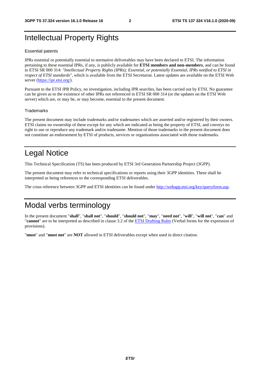## Intellectual Property Rights

#### Essential patents

IPRs essential or potentially essential to normative deliverables may have been declared to ETSI. The information pertaining to these essential IPRs, if any, is publicly available for **ETSI members and non-members**, and can be found in ETSI SR 000 314: *"Intellectual Property Rights (IPRs); Essential, or potentially Essential, IPRs notified to ETSI in respect of ETSI standards"*, which is available from the ETSI Secretariat. Latest updates are available on the ETSI Web server [\(https://ipr.etsi.org/](https://ipr.etsi.org/)).

Pursuant to the ETSI IPR Policy, no investigation, including IPR searches, has been carried out by ETSI. No guarantee can be given as to the existence of other IPRs not referenced in ETSI SR 000 314 (or the updates on the ETSI Web server) which are, or may be, or may become, essential to the present document.

#### **Trademarks**

The present document may include trademarks and/or tradenames which are asserted and/or registered by their owners. ETSI claims no ownership of these except for any which are indicated as being the property of ETSI, and conveys no right to use or reproduce any trademark and/or tradename. Mention of those trademarks in the present document does not constitute an endorsement by ETSI of products, services or organizations associated with those trademarks.

## Legal Notice

This Technical Specification (TS) has been produced by ETSI 3rd Generation Partnership Project (3GPP).

The present document may refer to technical specifications or reports using their 3GPP identities. These shall be interpreted as being references to the corresponding ETSI deliverables.

The cross reference between 3GPP and ETSI identities can be found under<http://webapp.etsi.org/key/queryform.asp>.

## Modal verbs terminology

In the present document "**shall**", "**shall not**", "**should**", "**should not**", "**may**", "**need not**", "**will**", "**will not**", "**can**" and "**cannot**" are to be interpreted as described in clause 3.2 of the [ETSI Drafting Rules](https://portal.etsi.org/Services/editHelp!/Howtostart/ETSIDraftingRules.aspx) (Verbal forms for the expression of provisions).

"**must**" and "**must not**" are **NOT** allowed in ETSI deliverables except when used in direct citation.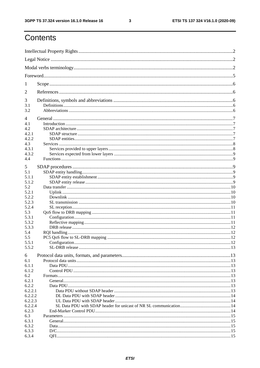$\mathbf{3}$ 

## Contents

| 1                |  |  |  |  |  |
|------------------|--|--|--|--|--|
| 2                |  |  |  |  |  |
| 3<br>3.1         |  |  |  |  |  |
| 3.2              |  |  |  |  |  |
| 4                |  |  |  |  |  |
| 4.1<br>4.2       |  |  |  |  |  |
| 4.2.1            |  |  |  |  |  |
| 4.2.2            |  |  |  |  |  |
| 4.3              |  |  |  |  |  |
| 4.3.1            |  |  |  |  |  |
| 4.3.2            |  |  |  |  |  |
| 4.4              |  |  |  |  |  |
| 5                |  |  |  |  |  |
| 5.1              |  |  |  |  |  |
| 5.1.1            |  |  |  |  |  |
| 5.1.2            |  |  |  |  |  |
| 5.2              |  |  |  |  |  |
| 5.2.1            |  |  |  |  |  |
| 5.2.2            |  |  |  |  |  |
| 5.2.3            |  |  |  |  |  |
| 5.2.4            |  |  |  |  |  |
| 5.3              |  |  |  |  |  |
| 5.3.1            |  |  |  |  |  |
| 5.3.2            |  |  |  |  |  |
| 5.3.3            |  |  |  |  |  |
| 5.4              |  |  |  |  |  |
| 5.5              |  |  |  |  |  |
| 5.5.1            |  |  |  |  |  |
| 5.5.2            |  |  |  |  |  |
| 6                |  |  |  |  |  |
| 6.1              |  |  |  |  |  |
| 6.1.1            |  |  |  |  |  |
| 6.1.2            |  |  |  |  |  |
| 6.2              |  |  |  |  |  |
| 6.2.1            |  |  |  |  |  |
| 6.2.2            |  |  |  |  |  |
| 6.2.2.1          |  |  |  |  |  |
| 6.2.2.2          |  |  |  |  |  |
| 6.2.2.3          |  |  |  |  |  |
| 6.2.2.4<br>6.2.3 |  |  |  |  |  |
| 6.3              |  |  |  |  |  |
| 6.3.1            |  |  |  |  |  |
| 6.3.2            |  |  |  |  |  |
| 6.3.3            |  |  |  |  |  |
| 6.3.4            |  |  |  |  |  |
|                  |  |  |  |  |  |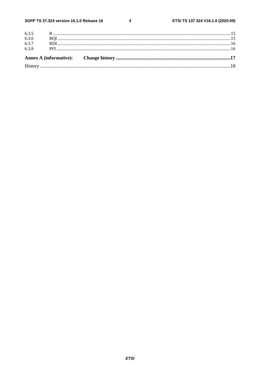$\overline{\mathbf{4}}$ 

| 6.3.8 |  |  |
|-------|--|--|
|       |  |  |
| 6.3.7 |  |  |
| 6.3.6 |  |  |
|       |  |  |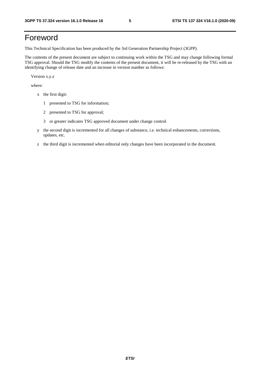## Foreword

This Technical Specification has been produced by the 3rd Generation Partnership Project (3GPP).

The contents of the present document are subject to continuing work within the TSG and may change following formal TSG approval. Should the TSG modify the contents of the present document, it will be re-released by the TSG with an identifying change of release date and an increase in version number as follows:

Version x.y.z

where:

- x the first digit:
	- 1 presented to TSG for information;
	- 2 presented to TSG for approval;
	- 3 or greater indicates TSG approved document under change control.
- y the second digit is incremented for all changes of substance, i.e. technical enhancements, corrections, updates, etc.
- z the third digit is incremented when editorial only changes have been incorporated in the document.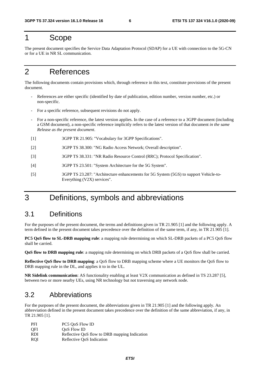## 1 Scope

The present document specifies the Service Data Adaptation Protocol (SDAP) for a UE with connection to the 5G-CN or for a UE in NR SL communication.

## 2 References

The following documents contain provisions which, through reference in this text, constitute provisions of the present document.

- References are either specific (identified by date of publication, edition number, version number, etc.) or non-specific.
- For a specific reference, subsequent revisions do not apply.
- For a non-specific reference, the latest version applies. In the case of a reference to a 3GPP document (including a GSM document), a non-specific reference implicitly refers to the latest version of that document *in the same Release as the present document*.
- [1] 3GPP TR 21.905: "Vocabulary for 3GPP Specifications".
- [2] 3GPP TS 38.300: "NG Radio Access Network; Overall description".
- [3] 3GPP TS 38.331: "NR Radio Resource Control (RRC); Protocol Specification".
- [4] 3GPP TS 23.501: "System Architecture for the 5G System".
- [5] 3GPP TS 23.287: "Architecture enhancements for 5G System (5GS) to support Vehicle-to-Everything (V2X) services".

## 3 Definitions, symbols and abbreviations

## 3.1 Definitions

For the purposes of the present document, the terms and definitions given in TR 21.905 [1] and the following apply. A term defined in the present document takes precedence over the definition of the same term, if any, in TR 21.905 [1].

**PC5 QoS flow to SL-DRB mapping rule**: a mapping rule determining on which SL-DRB packets of a PC5 QoS flow shall be carried.

**QoS flow to DRB mapping rule**: a mapping rule determining on which DRB packets of a QoS flow shall be carried.

**Reflective QoS flow to DRB mapping**: a QoS flow to DRB mapping scheme where a UE monitors the QoS flow to DRB mapping rule in the DL, and applies it to in the UL.

**NR Sidelink communication**: AS functionality enabling at least V2X communication as defined in TS 23.287 [5], between two or more nearby UEs, using NR technology but not traversing any network node.

## 3.2 Abbreviations

For the purposes of the present document, the abbreviations given in TR 21.905 [1] and the following apply. An abbreviation defined in the present document takes precedence over the definition of the same abbreviation, if any, in TR 21.905 [1].

| <b>PFI</b> | PC5 QoS Flow ID                               |
|------------|-----------------------------------------------|
| <b>OFI</b> | OoS Flow ID                                   |
| <b>RDI</b> | Reflective QoS flow to DRB mapping Indication |
| <b>ROI</b> | Reflective OoS Indication                     |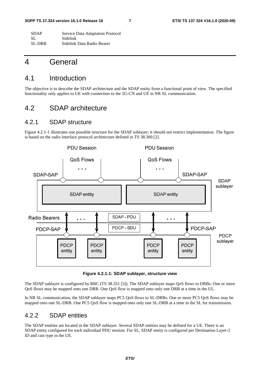| <b>SDAP</b> | Service Data Adaptation Protocol |
|-------------|----------------------------------|
| -SL         | Sidelink                         |
| SL-DRB      | Sidelink Data Radio Bearer       |

## 4 General

### 4.1 Introduction

The objective is to describe the SDAP architecture and the SDAP entity from a functional point of view. The specified functionality only applies to UE with connection to the 5G-CN and UE in NR SL communication.

## 4.2 SDAP architecture

#### 4.2.1 SDAP structure

Figure 4.2.1-1 illustrates one possible structure for the SDAP sublayer; it should not restrict implementation. The figure is based on the radio interface protocol architecture defined in TS 38.300 [2].



**Figure 4.2.1-1: SDAP sublayer, structure view** 

The SDAP sublayer is configured by RRC (TS 38.331 [3]). The SDAP sublayer maps QoS flows to DRBs. One or more QoS flows may be mapped onto one DRB. One QoS flow is mapped onto only one DRB at a time in the UL.

In NR SL communication, the SDAP sublayer maps PC5 QoS flows to SL-DRBs. One or more PC5 QoS flows may be mapped onto one SL-DRB. One PC5 QoS flow is mapped onto only one SL-DRB at a time in the SL for transmission.

### 4.2.2 SDAP entities

The SDAP entities are located in the SDAP sublayer. Several SDAP entities may be defined for a UE. There is an SDAP entity configured for each individual PDU session. For SL, SDAP entity is configured per Destination Layer-2 ID and cast type in the UE.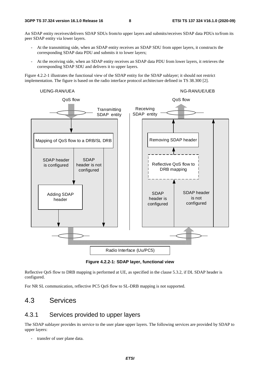An SDAP entity receives/delivers SDAP SDUs from/to upper layers and submits/receives SDAP data PDUs to/from its peer SDAP entity via lower layers.

- At the transmitting side, when an SDAP entity receives an SDAP SDU from upper layers, it constructs the corresponding SDAP data PDU and submits it to lower layers;
- At the receiving side, when an SDAP entity receives an SDAP data PDU from lower layers, it retrieves the corresponding SDAP SDU and delivers it to upper layers.

Figure 4.2.2-1 illustrates the functional view of the SDAP entity for the SDAP sublayer; it should not restrict implementation. The figure is based on the radio interface protocol architecture defined in TS 38.300 [2].



**Figure 4.2.2-1: SDAP layer, functional view** 

Reflective QoS flow to DRB mapping is performed at UE, as specified in the clause 5.3.2, if DL SDAP header is configured.

For NR SL communication, reflective PC5 QoS flow to SL-DRB mapping is not supported.

## 4.3 Services

#### 4.3.1 Services provided to upper layers

The SDAP sublayer provides its service to the user plane upper layers. The following services are provided by SDAP to upper layers:

transfer of user plane data.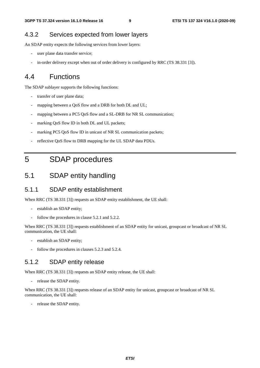#### 4.3.2 Services expected from lower layers

An SDAP entity expects the following services from lower layers:

- user plane data transfer service;
- in-order delivery except when out of order delivery is configured by RRC (TS 38.331 [3]).

## 4.4 Functions

The SDAP sublayer supports the following functions:

- transfer of user plane data;
- mapping between a QoS flow and a DRB for both DL and UL;
- mapping between a PC5 QoS flow and a SL-DRB for NR SL communication;
- marking OoS flow ID in both DL and UL packets;
- marking PC5 QoS flow ID in unicast of NR SL communication packets;
- reflective QoS flow to DRB mapping for the UL SDAP data PDUs.

## 5 SDAP procedures

## 5.1 SDAP entity handling

#### 5.1.1 SDAP entity establishment

When RRC (TS 38.331 [3]) requests an SDAP entity establishment, the UE shall:

- establish an SDAP entity;
- follow the procedures in clause 5.2.1 and 5.2.2.

When RRC (TS 38.331 [3]) requests establishment of an SDAP entity for unicast, groupcast or broadcast of NR SL communication, the UE shall:

- establish an SDAP entity;
- follow the procedures in clauses 5.2.3 and 5.2.4.

#### 5.1.2 SDAP entity release

When RRC (TS 38.331 [3]) requests an SDAP entity release, the UE shall:

- release the SDAP entity.

When RRC (TS 38.331 [3]) requests release of an SDAP entity for unicast, groupcast or broadcast of NR SL communication, the UE shall:

- release the SDAP entity.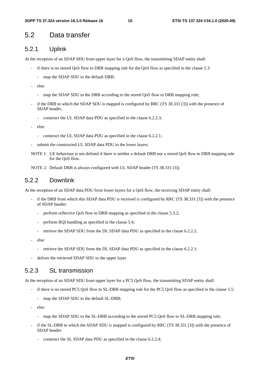## 5.2 Data transfer

#### 5.2.1 Uplink

At the reception of an SDAP SDU from upper layer for a QoS flow, the transmitting SDAP entity shall:

- if there is no stored QoS flow to DRB mapping rule for the QoS flow as specified in the clause 5.3:
	- map the SDAP SDU to the default DRB;
- else:
	- map the SDAP SDU to the DRB according to the stored QoS flow to DRB mapping rule;
- if the DRB to which the SDAP SDU is mapped is configured by RRC (TS 38.331 [3]) with the presence of SDAP header,
	- construct the UL SDAP data PDU as specified in the clause 6.2.2.3;
- else:
	- construct the UL SDAP data PDU as specified in the clause 6.2.2.1;
- submit the constructed UL SDAP data PDU to the lower layers.
- NOTE 1: UE behaviour is not defined if there is neither a default DRB nor a stored QoS flow to DRB mapping rule for the QoS flow.
- NOTE 2: Default DRB is always configured with UL SDAP header (TS 38.331 [3]).

### 5.2.2 Downlink

At the reception of an SDAP data PDU from lower layers for a QoS flow, the receiving SDAP entity shall:

- if the DRB from which this SDAP data PDU is received is configured by RRC (TS 38.331 [3]) with the presence of SDAP header:
	- perform reflective OoS flow to DRB mapping as specified in the clause 5.3.2;
	- perform RQI handling as specified in the clause 5.4;
	- retrieve the SDAP SDU from the DL SDAP data PDU as specified in the clause 6.2.2.2.
- else:
	- retrieve the SDAP SDU from the DL SDAP data PDU as specified in the clause 6.2.2.1;
- deliver the retrieved SDAP SDU to the upper layer.

#### 5.2.3 SL transmission

At the reception of an SDAP SDU from upper layer for a PC5 QoS flow, the transmitting SDAP entity shall:

- if there is no stored PC5 QoS flow to SL-DRB mapping rule for the PC5 QoS flow as specified in the clause 5.5:
	- map the SDAP SDU to the default SL-DRB;
- else:
	- map the SDAP SDU to the SL-DRB according to the stored PC5 QoS flow to SL-DRB mapping rule;
- if the SL-DRB to which the SDAP SDU is mapped is configured by RRC (TS 38.331 [3]) with the presence of SDAP header:
	- construct the SL SDAP data PDU as specified in the clause 6.2.2.4;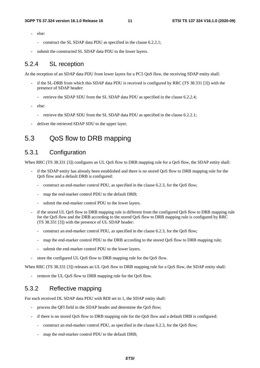- else:
	- construct the SL SDAP data PDU as specified in the clause 6.2.2.1;
- submit the constructed SL SDAP data PDU to the lower layers.

#### 5.2.4 SL reception

At the reception of an SDAP data PDU from lower layers for a PC5 QoS flow, the receiving SDAP entity shall:

- if the SL-DRB from which this SDAP data PDU is received is configured by RRC (TS 38.331 [3]) with the presence of SDAP header:
	- retrieve the SDAP SDU from the SL SDAP data PDU as specified in the clause 6.2.2.4;
- else:
	- retrieve the SDAP SDU from the SL SDAP data PDU as specified in the clause 6.2.2.1;
- deliver the retrieved SDAP SDU to the upper layer.

## 5.3 QoS flow to DRB mapping

## 5.3.1 Configuration

When RRC (TS 38.331 [3]) configures an UL QoS flow to DRB mapping rule for a QoS flow, the SDAP entity shall:

- if the SDAP entity has already been established and there is no stored QoS flow to DRB mapping rule for the QoS flow and a default DRB is configured:
	- construct an end-marker control PDU, as specified in the clause 6.2.3, for the QoS flow;
	- map the end-marker control PDU to the default DRB;
	- submit the end-marker control PDU to the lower layers.
- if the stored UL QoS flow to DRB mapping rule is different from the configured QoS flow to DRB mapping rule for the QoS flow and the DRB according to the stored QoS flow to DRB mapping rule is configured by RRC (TS 38.331 [3]) with the presence of UL SDAP header:
	- construct an end-marker control PDU, as specified in the clause 6.2.3, for the QoS flow;
	- map the end-marker control PDU to the DRB according to the stored QoS flow to DRB mapping rule;
	- submit the end-marker control PDU to the lower layers.
- store the configured UL QoS flow to DRB mapping rule for the QoS flow.

When RRC (TS 38.331 [3]) releases an UL QoS flow to DRB mapping rule for a QoS flow, the SDAP entity shall:

remove the UL QoS flow to DRB mapping rule for the QoS flow.

#### 5.3.2 Reflective mapping

For each received DL SDAP data PDU with RDI set to 1, the SDAP entity shall:

- process the QFI field in the SDAP header and determine the QoS flow;
- if there is no stored QoS flow to DRB mapping rule for the QoS flow and a default DRB is configured:
	- construct an end-marker control PDU, as specified in the clause 6.2.3, for the QoS flow;
	- map the end-marker control PDU to the default DRB;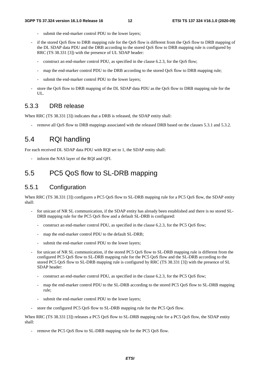- submit the end-marker control PDU to the lower layers;
- if the stored QoS flow to DRB mapping rule for the QoS flow is different from the QoS flow to DRB mapping of the DL SDAP data PDU and the DRB according to the stored QoS flow to DRB mapping rule is configured by RRC (TS 38.331 [3]) with the presence of UL SDAP header:
	- construct an end-marker control PDU, as specified in the clause 6.2.3, for the QoS flow;
	- map the end-marker control PDU to the DRB according to the stored QoS flow to DRB mapping rule;
	- submit the end-marker control PDU to the lower layers;
- store the QoS flow to DRB mapping of the DL SDAP data PDU as the QoS flow to DRB mapping rule for the UL.

#### 5.3.3 DRB release

When RRC (TS 38.331 [3]) indicates that a DRB is released, the SDAP entity shall:

remove all QoS flow to DRB mappings associated with the released DRB based on the clauses 5.3.1 and 5.3.2.

## 5.4 RQI handling

For each received DL SDAP data PDU with RQI set to 1, the SDAP entity shall:

inform the NAS layer of the RQI and QFI.

## 5.5 PC5 QoS flow to SL-DRB mapping

#### 5.5.1 Configuration

When RRC (TS 38.331 [3]) configures a PC5 QoS flow to SL-DRB mapping rule for a PC5 QoS flow, the SDAP entity shall:

- for unicast of NR SL communication, if the SDAP entity has already been established and there is no stored SL-DRB mapping rule for the PC5 QoS flow and a default SL-DRB is configured:
	- construct an end-marker control PDU, as specified in the clause 6.2.3, for the PC5 QoS flow;
	- map the end-marker control PDU to the default SL-DRB;
	- submit the end-marker control PDU to the lower layers;
- for unicast of NR SL communication, if the stored PC5 QoS flow to SL-DRB mapping rule is different from the configured PC5 QoS flow to SL-DRB mapping rule for the PC5 QoS flow and the SL-DRB according to the stored PC5 QoS flow to SL-DRB mapping rule is configured by RRC (TS 38.331 [3]) with the presence of SL SDAP header:
	- construct an end-marker control PDU, as specified in the clause 6.2.3, for the PC5 QoS flow;
	- map the end-marker control PDU to the SL-DRB according to the stored PC5 OoS flow to SL-DRB mapping rule;
	- submit the end-marker control PDU to the lower layers;
- store the configured PC5 QoS flow to SL-DRB mapping rule for the PC5 QoS flow.

When RRC (TS 38.331 [3]) releases a PC5 QoS flow to SL-DRB mapping rule for a PC5 QoS flow, the SDAP entity shall:

remove the PC5 QoS flow to SL-DRB mapping rule for the PC5 QoS flow.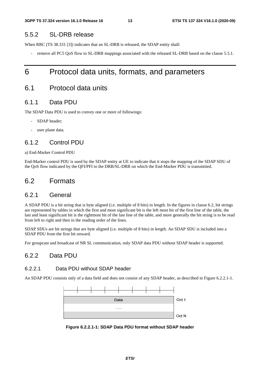#### 5.5.2 SL-DRB release

When RRC (TS 38.331 [3]) indicates that an SL-DRB is released, the SDAP entity shall:

remove all PC5 QoS flow to SL-DRB mappings associated with the released SL-DRB based on the clause 5.5.1.

## 6 Protocol data units, formats, and parameters

## 6.1 Protocol data units

#### 6.1.1 Data PDU

The SDAP Data PDU is used to convey one or more of followings:

- SDAP header;
- user plane data.

#### 6.1.2 Control PDU

a) End-Marker Control PDU

End-Marker control PDU is used by the SDAP entity at UE to indicate that it stops the mapping of the SDAP SDU of the QoS flow indicated by the QFI/PFI to the DRB/SL-DRB on which the End-Marker PDU is transmitted.

### 6.2 Formats

#### 6.2.1 General

A SDAP PDU is a bit string that is byte aligned (i.e. multiple of 8 bits) in length. In the figures in clause 6.2, bit strings are represented by tables in which the first and most significant bit is the left most bit of the first line of the table, the last and least significant bit is the rightmost bit of the last line of the table, and more generally the bit string is to be read from left to right and then in the reading order of the lines.

SDAP SDUs are bit strings that are byte aligned (i.e. multiple of 8 bits) in length. An SDAP SDU is included into a SDAP PDU from the first bit onward.

For groupcast and broadcast of NR SL communication, only SDAP data PDU without SDAP header is supported.

#### 6.2.2 Data PDU

#### 6.2.2.1 Data PDU without SDAP header

An SDAP PDU consists only of a data field and does not consist of any SDAP header, as described in Figure 6.2.2.1-1.



**Figure 6.2.2.1-1: SDAP Data PDU format without SDAP header**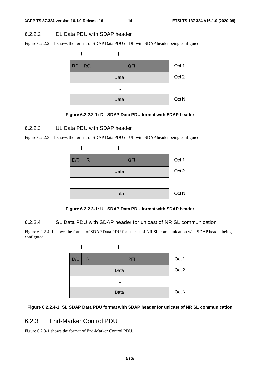#### 6.2.2.2 DL Data PDU with SDAP header

Figure 6.2.2.2 – 1 shows the format of SDAP Data PDU of DL with SDAP header being configured.



**Figure 6.2.2.2-1: DL SDAP Data PDU format with SDAP header** 

#### 6.2.2.3 UL Data PDU with SDAP header

Figure 6.2.2.3 – 1 shows the format of SDAP Data PDU of UL with SDAP header being configured.



**Figure 6.2.2.3-1: UL SDAP Data PDU format with SDAP header** 

#### 6.2.2.4 SL Data PDU with SDAP header for unicast of NR SL communication

Figure 6.2.2.4–1 shows the format of SDAP Data PDU for unicast of NR SL communication with SDAP header being configured.



#### **Figure 6.2.2.4-1: SL SDAP Data PDU format with SDAP header for unicast of NR SL communication**

#### 6.2.3 End-Marker Control PDU

Figure 6.2.3-1 shows the format of End-Marker Control PDU.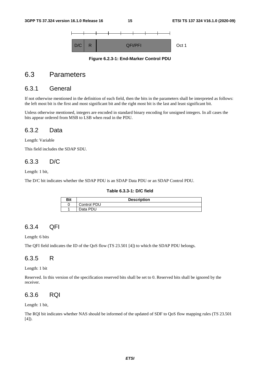

**Figure 6.2.3-1: End-Marker Control PDU** 

## 6.3 Parameters

#### 6.3.1 General

If not otherwise mentioned in the definition of each field, then the bits in the parameters shall be interpreted as follows: the left most bit is the first and most significant bit and the right most bit is the last and least significant bit.

Unless otherwise mentioned, integers are encoded in standard binary encoding for unsigned integers. In all cases the bits appear ordered from MSB to LSB when read in the PDU.

#### 6.3.2 Data

Length: Variable

This field includes the SDAP SDU.

#### 6.3.3 D/C

Length: 1 bit,

The D/C bit indicates whether the SDAP PDU is an SDAP Data PDU or an SDAP Control PDU.

#### **Table 6.3.3-1: D/C field**

| Bit | <b>Description</b> |  |  |  |  |
|-----|--------------------|--|--|--|--|
|     | Control PDU        |  |  |  |  |
|     | Data PDU           |  |  |  |  |

#### 6.3.4 QFI

Length: 6 bits

The QFI field indicates the ID of the QoS flow (TS 23.501 [4]) to which the SDAP PDU belongs.

#### 6.3.5 R

Length: 1 bit

Reserved. In this version of the specification reserved bits shall be set to 0. Reserved bits shall be ignored by the receiver.

#### 6.3.6 RQI

Length: 1 bit,

The RQI bit indicates whether NAS should be informed of the updated of SDF to QoS flow mapping rules (TS 23.501  $[4]$ .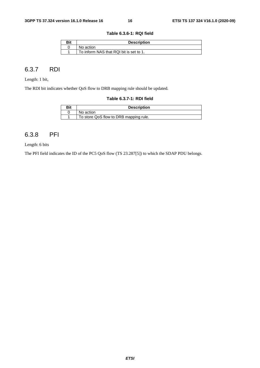**Table 6.3.6-1: RQI field** 

| Bit | <b>Description</b>                      |  |  |  |  |
|-----|-----------------------------------------|--|--|--|--|
|     | No action                               |  |  |  |  |
|     | To inform NAS that RQI bit is set to 1. |  |  |  |  |

#### 6.3.7 RDI

Length: 1 bit,

The RDI bit indicates whether QoS flow to DRB mapping rule should be updated.

#### **Table 6.3.7-1: RDI field**

| Bit | <b>Description</b>                     |  |  |  |  |  |
|-----|----------------------------------------|--|--|--|--|--|
|     | No action                              |  |  |  |  |  |
|     | To store QoS flow to DRB mapping rule. |  |  |  |  |  |

## 6.3.8 PFI

Length: 6 bits

The PFI field indicates the ID of the PC5 QoS flow (TS 23.287[5]) to which the SDAP PDU belongs.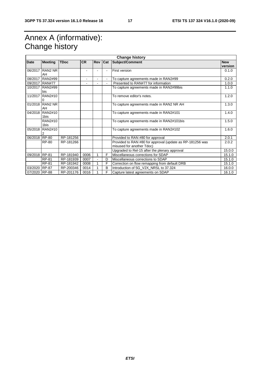## Annex A (informative): Change history

| <b>Change history</b> |                |             |                |         |   |                                                           |            |
|-----------------------|----------------|-------------|----------------|---------|---|-----------------------------------------------------------|------------|
| Date                  | <b>Meeting</b> | <b>TDoc</b> | CR.            | Rev Cat |   | Subject/Comment                                           | <b>New</b> |
|                       |                |             |                |         |   |                                                           | version    |
| 06/2017               | RAN2 NR        |             |                |         |   | First version                                             | 0.1.0      |
|                       | AH             |             |                |         |   |                                                           |            |
| 08/2017               | <b>RAN2#99</b> |             | ٠              |         |   | To capture agreements made in RAN2#99                     | 0.2.0      |
| 09/2017               | <b>RAN#77</b>  |             | $\blacksquare$ |         |   | Presented to RAN#77 for information                       | 1.0.0      |
| 10/2017               | <b>RAN2#99</b> |             |                |         |   | To capture agreements made in RAN2#99bis                  | 1.1.0      |
|                       | bis            |             |                |         |   |                                                           |            |
| 11/2017               | <b>RAN2#10</b> |             |                |         |   | To remove editor's notes.                                 | 1.2.0      |
|                       |                |             |                |         |   |                                                           |            |
| 01/2018               | RAN2 NR        |             |                |         |   | To capture agreements made in RAN2 NR AH                  | 1.3.0      |
|                       | AH             |             |                |         |   |                                                           |            |
| 04/2018               | <b>RAN2#10</b> |             |                |         |   | To capture agreements made in RAN2#101                    | 1.4.0      |
|                       | 1bis           |             |                |         |   |                                                           |            |
|                       | RAN2#10        |             |                |         |   | To capture agreements made in RAN2#101bis                 | 1.5.0      |
|                       | 1bis           |             |                |         |   |                                                           |            |
| 05/2018               | RAN2#10        |             |                |         |   | To capture agreements made in RAN2#102                    | 1.6.0      |
|                       |                |             |                |         |   |                                                           |            |
| 06/2018 RP-80         |                | RP-181256   |                |         |   | Provided to RAN #80 for approval                          | 2.0.1      |
|                       | RP-80          | RP-181266   |                |         |   | Provided to RAN #80 for approval (update as RP-181256 was | 2.0.2      |
|                       |                |             |                |         |   | misused for another Tdoc)                                 |            |
|                       |                |             |                |         |   | Upgraded to Rel-15 after the plenary approval             | 15.0.0     |
| 09/2018 RP-81         |                | RP-181940   | 0006           |         | F | Miscellaneous corrections for SDAP                        | 15.1.0     |
|                       | <b>RP-81</b>   | RP-181939   | 0007           |         | D | Miscellaneous corrections to SDAP                         | 15.1.0     |
|                       | RP-81          | RP-181942   | 0008           |         | F | Correction on flow remapping from default DRB             | 15.1.0     |
| 03/2020               | <b>RP-87</b>   | RP-200346   | 0014           |         | B | Introduction of 5G_V2X_NRSL to 37.324                     | 16.0.0     |
| 07/2020 RP-88         |                | RP-201176   | 0016           |         | F | Capture latest agreements on SDAP                         | 16.1.0     |